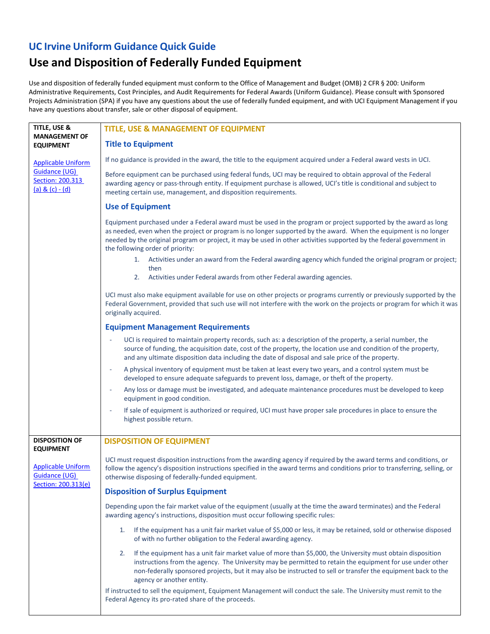## **UC Irvine Uniform Guidance Quick Guide**

## **Use and Disposition of Federally Funded Equipment**

Use and disposition of federally funded equipment must conform to the Office of Management and Budget (OMB) 2 CFR § 200: Uniform Administrative Requirements, Cost Principles, and Audit Requirements for Federal Awards (Uniform Guidance). Please consult with Sponsored Projects Administration (SPA) if you have any questions about the use of federally funded equipment, and with UCI Equipment Management if you have any questions about transfer, sale or other disposal of equipment.

| TITLE, USE &<br><b>MANAGEMENT OF</b>                              | TITLE, USE & MANAGEMENT OF EQUIPMENT                                                                                                                                                                                                                                                                                                                                                            |
|-------------------------------------------------------------------|-------------------------------------------------------------------------------------------------------------------------------------------------------------------------------------------------------------------------------------------------------------------------------------------------------------------------------------------------------------------------------------------------|
| <b>EQUIPMENT</b>                                                  | <b>Title to Equipment</b>                                                                                                                                                                                                                                                                                                                                                                       |
| <b>Applicable Uniform</b>                                         | If no guidance is provided in the award, the title to the equipment acquired under a Federal award vests in UCI.                                                                                                                                                                                                                                                                                |
| <b>Guidance (UG)</b><br>Section: 200.313<br>$(a) & (c) - (d)$     | Before equipment can be purchased using federal funds, UCI may be required to obtain approval of the Federal<br>awarding agency or pass-through entity. If equipment purchase is allowed, UCI's title is conditional and subject to<br>meeting certain use, management, and disposition requirements.                                                                                           |
|                                                                   | <b>Use of Equipment</b>                                                                                                                                                                                                                                                                                                                                                                         |
|                                                                   | Equipment purchased under a Federal award must be used in the program or project supported by the award as long<br>as needed, even when the project or program is no longer supported by the award. When the equipment is no longer<br>needed by the original program or project, it may be used in other activities supported by the federal government in<br>the following order of priority: |
|                                                                   | Activities under an award from the Federal awarding agency which funded the original program or project;<br>1.<br>then                                                                                                                                                                                                                                                                          |
|                                                                   | Activities under Federal awards from other Federal awarding agencies.<br>2.                                                                                                                                                                                                                                                                                                                     |
|                                                                   | UCI must also make equipment available for use on other projects or programs currently or previously supported by the<br>Federal Government, provided that such use will not interfere with the work on the projects or program for which it was<br>originally acquired.                                                                                                                        |
|                                                                   | <b>Equipment Management Requirements</b>                                                                                                                                                                                                                                                                                                                                                        |
|                                                                   | UCI is required to maintain property records, such as: a description of the property, a serial number, the<br>source of funding, the acquisition date, cost of the property, the location use and condition of the property,<br>and any ultimate disposition data including the date of disposal and sale price of the property.                                                                |
|                                                                   | A physical inventory of equipment must be taken at least every two years, and a control system must be<br>$\overline{\phantom{a}}$<br>developed to ensure adequate safeguards to prevent loss, damage, or theft of the property.                                                                                                                                                                |
|                                                                   | Any loss or damage must be investigated, and adequate maintenance procedures must be developed to keep<br>$\overline{\phantom{a}}$<br>equipment in good condition.                                                                                                                                                                                                                              |
|                                                                   | If sale of equipment is authorized or required, UCI must have proper sale procedures in place to ensure the<br>highest possible return.                                                                                                                                                                                                                                                         |
| <b>DISPOSITION OF</b><br><b>EQUIPMENT</b>                         | <b>DISPOSITION OF EQUIPMENT</b>                                                                                                                                                                                                                                                                                                                                                                 |
| <b>Applicable Uniform</b><br>Guidance (UG)<br>Section: 200.313(e) | UCI must request disposition instructions from the awarding agency if required by the award terms and conditions, or<br>follow the agency's disposition instructions specified in the award terms and conditions prior to transferring, selling, or<br>otherwise disposing of federally-funded equipment.                                                                                       |
|                                                                   | <b>Disposition of Surplus Equipment</b>                                                                                                                                                                                                                                                                                                                                                         |
|                                                                   | Depending upon the fair market value of the equipment (usually at the time the award terminates) and the Federal<br>awarding agency's instructions, disposition must occur following specific rules:                                                                                                                                                                                            |
|                                                                   | If the equipment has a unit fair market value of \$5,000 or less, it may be retained, sold or otherwise disposed<br>1.<br>of with no further obligation to the Federal awarding agency.                                                                                                                                                                                                         |
|                                                                   | If the equipment has a unit fair market value of more than \$5,000, the University must obtain disposition<br>2.<br>instructions from the agency. The University may be permitted to retain the equipment for use under other<br>non-federally sponsored projects, but it may also be instructed to sell or transfer the equipment back to the<br>agency or another entity.                     |
|                                                                   | If instructed to sell the equipment, Equipment Management will conduct the sale. The University must remit to the<br>Federal Agency its pro-rated share of the proceeds.                                                                                                                                                                                                                        |